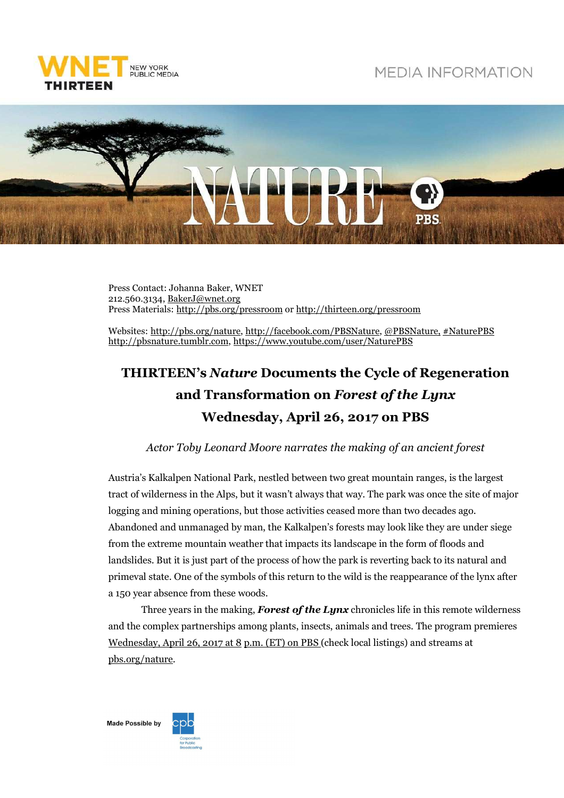

## **MEDIA INFORMATION**



Press Contact: Johanna Baker, WNET 212.560.3134, BakerJ@wnet.org Press Materials: http://pbs.org/pressroom or http://thirteen.org/pressroom

Websites: http://pbs.org/nature, http://facebook.com/PBSNature, @PBSNature, #NaturePBS http://pbsnature.tumblr.com, https://www.youtube.com/user/NaturePBS

## **THIRTEEN's** *Nature* **Documents the Cycle of Regeneration and Transformation on** *Forest of the Lynx* **Wednesday, April 26, 2017 on PBS**

## *Actor Toby Leonard Moore narrates the making of an ancient forest*

Austria's Kalkalpen National Park, nestled between two great mountain ranges, is the largest tract of wilderness in the Alps, but it wasn't always that way. The park was once the site of major logging and mining operations, but those activities ceased more than two decades ago. Abandoned and unmanaged by man, the Kalkalpen's forests may look like they are under siege from the extreme mountain weather that impacts its landscape in the form of floods and landslides. But it is just part of the process of how the park is reverting back to its natural and primeval state. One of the symbols of this return to the wild is the reappearance of the lynx after a 150 year absence from these woods.

Three years in the making, *Forest of the Lynx* chronicles life in this remote wilderness and the complex partnerships among plants, insects, animals and trees. The program premieres Wednesday, April 26, 2017 at 8 p.m. (ET) on PBS (check local listings) and streams at pbs.org/nature.

**Made Possible by** 

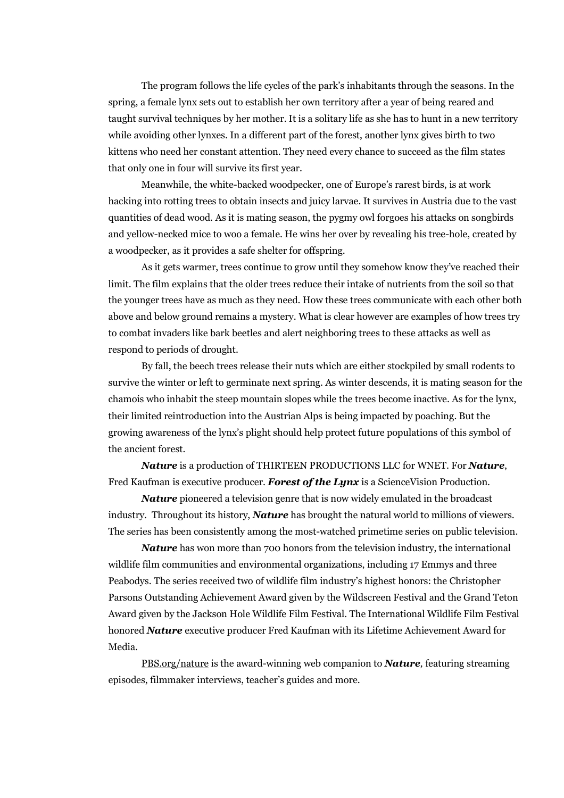The program follows the life cycles of the park's inhabitants through the seasons. In the spring, a female lynx sets out to establish her own territory after a year of being reared and taught survival techniques by her mother. It is a solitary life as she has to hunt in a new territory while avoiding other lynxes. In a different part of the forest, another lynx gives birth to two kittens who need her constant attention. They need every chance to succeed as the film states that only one in four will survive its first year.

 Meanwhile, the white-backed woodpecker, one of Europe's rarest birds, is at work hacking into rotting trees to obtain insects and juicy larvae. It survives in Austria due to the vast quantities of dead wood. As it is mating season, the pygmy owl forgoes his attacks on songbirds and yellow-necked mice to woo a female. He wins her over by revealing his tree-hole, created by a woodpecker, as it provides a safe shelter for offspring.

 As it gets warmer, trees continue to grow until they somehow know they've reached their limit. The film explains that the older trees reduce their intake of nutrients from the soil so that the younger trees have as much as they need. How these trees communicate with each other both above and below ground remains a mystery. What is clear however are examples of how trees try to combat invaders like bark beetles and alert neighboring trees to these attacks as well as respond to periods of drought.

 By fall, the beech trees release their nuts which are either stockpiled by small rodents to survive the winter or left to germinate next spring. As winter descends, it is mating season for the chamois who inhabit the steep mountain slopes while the trees become inactive. As for the lynx, their limited reintroduction into the Austrian Alps is being impacted by poaching. But the growing awareness of the lynx's plight should help protect future populations of this symbol of the ancient forest.

*Nature* is a production of THIRTEEN PRODUCTIONS LLC for WNET. For *Nature*, Fred Kaufman is executive producer. *Forest of the Lynx* is a ScienceVision Production.

*Nature* pioneered a television genre that is now widely emulated in the broadcast industry. Throughout its history, *Nature* has brought the natural world to millions of viewers. The series has been consistently among the most-watched primetime series on public television.

*Nature* has won more than 700 honors from the television industry, the international wildlife film communities and environmental organizations, including 17 Emmys and three Peabodys. The series received two of wildlife film industry's highest honors: the Christopher Parsons Outstanding Achievement Award given by the Wildscreen Festival and the Grand Teton Award given by the Jackson Hole Wildlife Film Festival. The International Wildlife Film Festival honored *Nature* executive producer Fred Kaufman with its Lifetime Achievement Award for Media.

PBS.org/nature is the award-winning web companion to *Nature,* featuring streaming episodes, filmmaker interviews, teacher's guides and more.